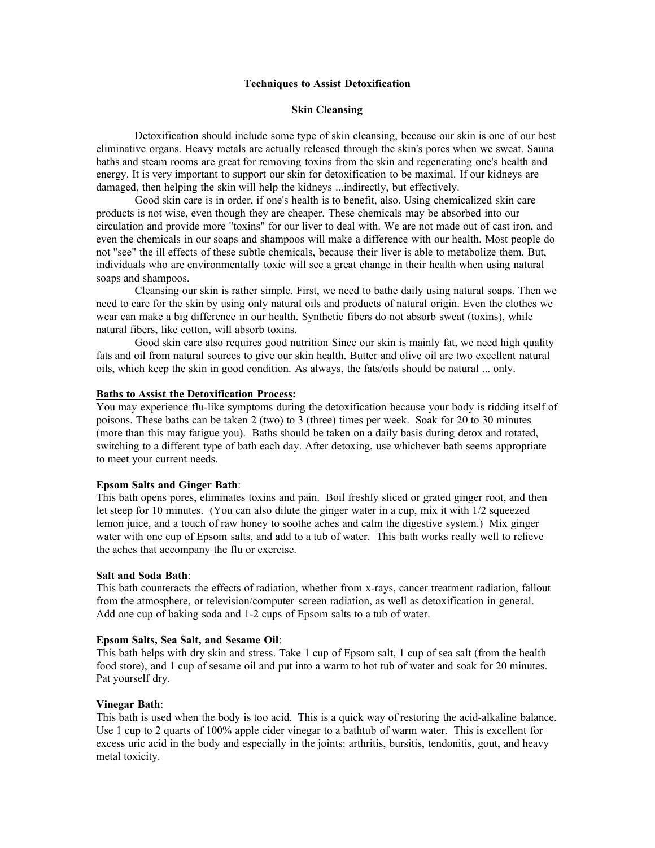### **Techniques to Assist Detoxification**

### **Skin Cleansing**

Detoxification should include some type of skin cleansing, because our skin is one of our best eliminative organs. Heavy metals are actually released through the skin's pores when we sweat. Sauna baths and steam rooms are great for removing toxins from the skin and regenerating one's health and energy. It is very important to support our skin for detoxification to be maximal. If our kidneys are damaged, then helping the skin will help the kidneys ...indirectly, but effectively.

Good skin care is in order, if one's health is to benefit, also. Using chemicalized skin care products is not wise, even though they are cheaper. These chemicals may be absorbed into our circulation and provide more "toxins" for our liver to deal with. We are not made out of cast iron, and even the chemicals in our soaps and shampoos will make a difference with our health. Most people do not "see" the ill effects of these subtle chemicals, because their liver is able to metabolize them. But, individuals who are environmentally toxic will see a great change in their health when using natural soaps and shampoos.

Cleansing our skin is rather simple. First, we need to bathe daily using natural soaps. Then we need to care for the skin by using only natural oils and products of natural origin. Even the clothes we wear can make a big difference in our health. Synthetic fibers do not absorb sweat (toxins), while natural fibers, like cotton, will absorb toxins.

Good skin care also requires good nutrition Since our skin is mainly fat, we need high quality fats and oil from natural sources to give our skin health. Butter and olive oil are two excellent natural oils, which keep the skin in good condition. As always, the fats/oils should be natural ... only.

# **Baths to Assist the Detoxification Process:**

You may experience flu-like symptoms during the detoxification because your body is ridding itself of poisons. These baths can be taken 2 (two) to 3 (three) times per week. Soak for 20 to 30 minutes (more than this may fatigue you). Baths should be taken on a daily basis during detox and rotated, switching to a different type of bath each day. After detoxing, use whichever bath seems appropriate to meet your current needs.

#### **Epsom Salts and Ginger Bath**:

This bath opens pores, eliminates toxins and pain. Boil freshly sliced or grated ginger root, and then let steep for 10 minutes. (You can also dilute the ginger water in a cup, mix it with  $1/2$  squeezed lemon juice, and a touch of raw honey to soothe aches and calm the digestive system.) Mix ginger water with one cup of Epsom salts, and add to a tub of water. This bath works really well to relieve the aches that accompany the flu or exercise.

# **Salt and Soda Bath**:

This bath counteracts the effects of radiation, whether from x-rays, cancer treatment radiation, fallout from the atmosphere, or television/computer screen radiation, as well as detoxification in general. Add one cup of baking soda and 1-2 cups of Epsom salts to a tub of water.

#### **Epsom Salts, Sea Salt, and Sesame Oil**:

This bath helps with dry skin and stress. Take 1 cup of Epsom salt, 1 cup of sea salt (from the health food store), and 1 cup of sesame oil and put into a warm to hot tub of water and soak for 20 minutes. Pat yourself dry.

#### **Vinegar Bath**:

This bath is used when the body is too acid. This is a quick way of restoring the acid-alkaline balance. Use 1 cup to 2 quarts of 100% apple cider vinegar to a bathtub of warm water. This is excellent for excess uric acid in the body and especially in the joints: arthritis, bursitis, tendonitis, gout, and heavy metal toxicity.